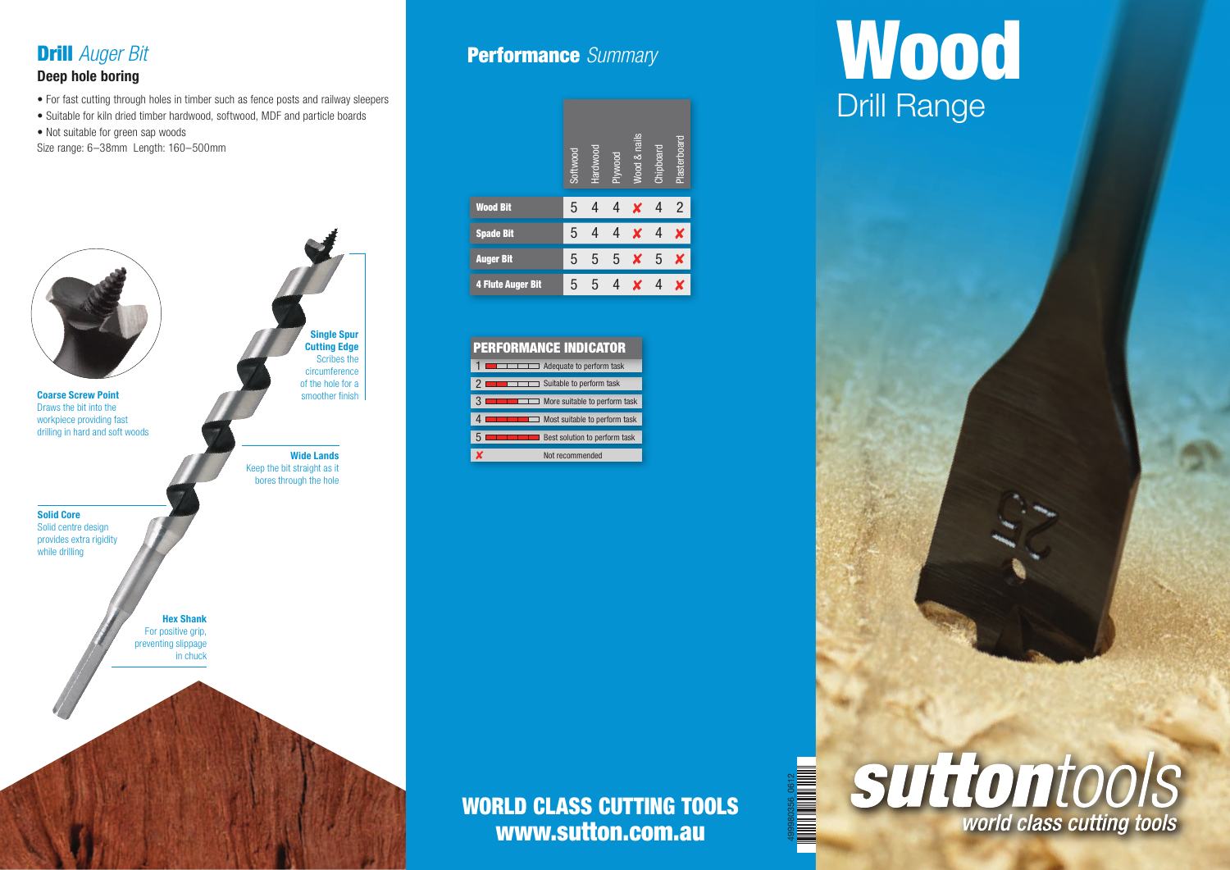

#### Deep hole boring

- For fast cutting through holes in timber such as fence posts and railway sleepers
- Suitable for kiln dried timber hardwood, softwood, MDF and particle boards
- Not suitable for green sap woods
- Size range: 6–38mm Length: 160–500mm



### Performance *Summary*



#### PERFORMANCE INDICATOR

| Adequate to perform task             |
|--------------------------------------|
| Suitable to perform task             |
| More suitable to perform task        |
| $\Box$ Most suitable to perform task |
| <b>Best solution to perform task</b> |
| Not recommended                      |

# WORLD CLASS CUTTING TOOLS www.sutton.com.au

499980356\_0612

# **Wood** Drill Range